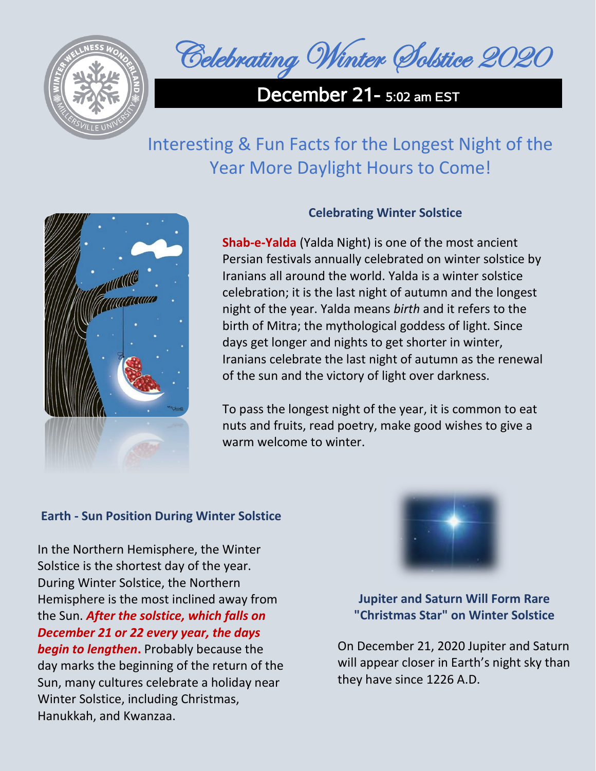

Celebrating Winter Solstice 2020

December 21 - 5:02 am EST

## Interesting & Fun Facts for the Longest Night of the Year More Daylight Hours to Come!



## **Celebrating Winter Solstice**

**Shab-e-Yalda** (Yalda Night) is one of the most ancient Persian festivals annually celebrated on winter solstice by Iranians all around the world. Yalda is a winter solstice celebration; it is the last night of autumn and the longest night of the year. Yalda means *birth* and it refers to the birth of Mitra; the mythological goddess of light. Since days get longer and nights to get shorter in winter, Iranians celebrate the last night of autumn as the renewal of the sun and the victory of light over darkness.

To pass the longest night of the year, it is common to eat nuts and fruits, read poetry, make good wishes to give a warm welcome to winter.

## **Earth - Sun Position During Winter Solstice**

In the Northern Hemisphere, the Winter Solstice is the shortest day of the year. During Winter Solstice, the Northern Hemisphere is the most inclined away from the Sun. *After the solstice, which falls on December 21 or 22 every year, the days begin to lengthen***.** Probably because the day marks the beginning of the return of the Sun, many cultures celebrate a holiday near Winter Solstice, including Christmas, Hanukkah, and Kwanzaa.



**Jupiter and Saturn Will Form Rare "Christmas Star" on Winter Solstice**

On December 21, 2020 Jupiter and Saturn will appear closer in Earth's night sky than they have since 1226 A.D.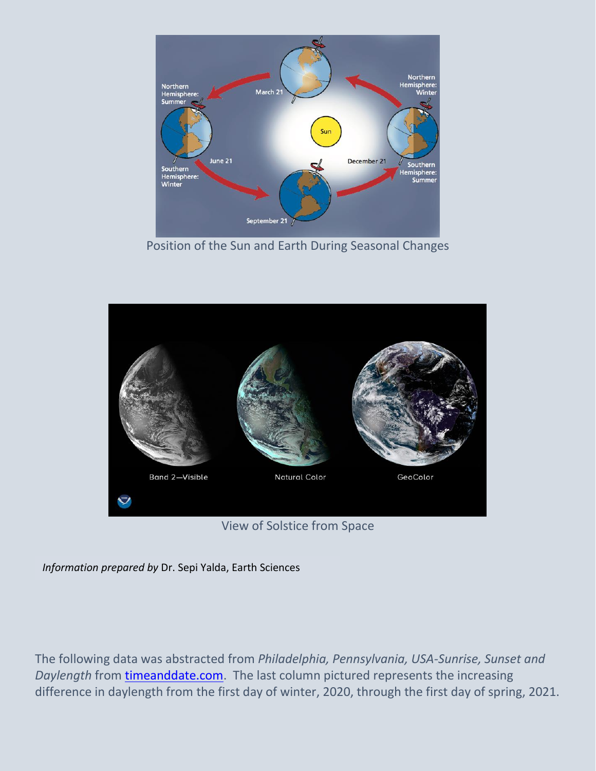

Position of the Sun and Earth During Seasonal Changes



View of Solstice from Space

*Information prepared by* Dr. Sepi Yalda, Earth Sciences

The following data was abstracted from *Philadelphia, Pennsylvania, USA-Sunrise, Sunset and Daylength* from [timeanddate.com.](https://www.timeanddate.com/sun/usa/philadelphia?month=3&year=2021) The last column pictured represents the increasing difference in daylength from the first day of winter, 2020, through the first day of spring, 2021.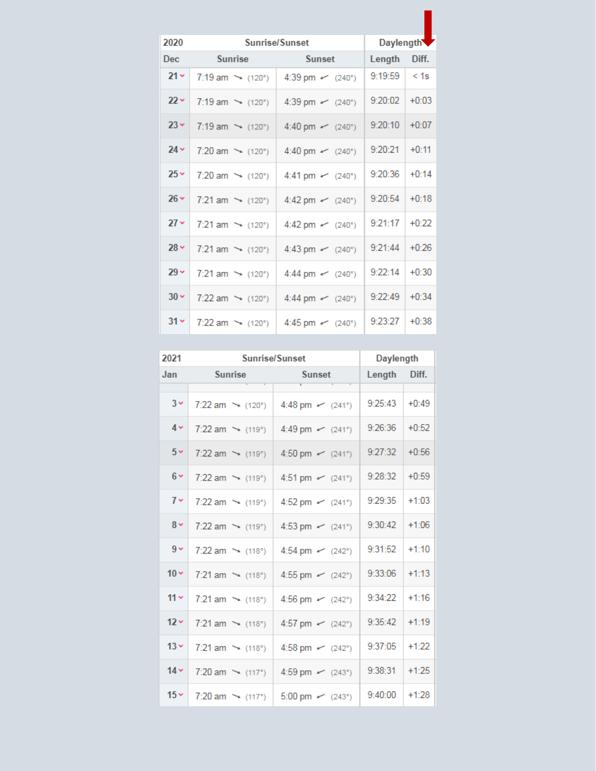| 2020       | Sunrise/Sunset                               |                       | Daylength |         |
|------------|----------------------------------------------|-----------------------|-----------|---------|
| <b>Dec</b> | Sunrise                                      | Sunset                | Length    | Diff.   |
| $21 -$     | 7:19 am $\sim$ (120°)                        | 4:39 pm $\sim$ (240°) | 9:19:59   | $<$ 1s  |
| $22 -$     | $7:19 \text{ am } \rightarrow (120^{\circ})$ | 4:39 pm $\sim$ (240°) | 9:20:02   | $+0:03$ |
| $23 -$     | 7:19 am $\rightarrow$ (120°)                 | 4:40 pm $\sim$ (240°) | 9:20:10   | $+0:07$ |
| $24 -$     | $7:20 \text{ am } \rightarrow (120^{\circ})$ | 4:40 pm $\sim$ (240°) | 9:20:21   | $+0:11$ |
| $25 -$     | 7:20 am $\rightarrow$ (120°)                 | 4:41 pm $\sim$ (240°) | 9:20:36   | $+0.14$ |
| $26 -$     | $7:21$ am $\rightarrow$ (120°)               | 4:42 pm $\sim$ (240°) | 9:20:54   | $+0.18$ |
| $27 -$     | $7:21$ am $\rightarrow$ (120°)               | 4:42 pm $\sim$ (240°) | 9:21:17   | $+0:22$ |
| $28 -$     | 7:21 am $\rightarrow$ (120°)                 | 4:43 pm $\sim$ (240°) | 9:21:44   | $+0.26$ |
| $29 -$     | 7:21 am $\rightarrow$ (120°)                 | 4:44 pm $\sim$ (240°) | 9:22:14   | $+0:30$ |
| $30 -$     | $7:22$ am $\rightarrow$ (120°)               | 4:44 pm $\sim$ (240°) | 9:22:49   | $+0:34$ |
| $31 -$     | $7:22$ am $\rightarrow$ (120°)               | 4:45 pm $\sim$ (240°) | 9:23:27   | $+0:38$ |

| 2021   | Sunrise/Sunset                 |                          | Daylength |         |
|--------|--------------------------------|--------------------------|-----------|---------|
| Jan    | Sunrise                        | Sunset                   | Length    | Diff.   |
|        |                                |                          |           |         |
| $3 -$  | $7:22$ am $\rightarrow$ (120°) | 4:48 pm $\sim$ (241°)    | 9:25:43   | $+0:49$ |
| $4 -$  | 7:22 am $\rightarrow$ (119°)   | 4:49 pm $\sim$ (241°)    | 9:26:36   | $+0:52$ |
| $5 -$  | 7:22 am $\rightarrow$ (119°)   | 4:50 pm $\sim$ (241°)    | 9:27:32   | $+0:56$ |
| $6 -$  | 7:22 am $\rightarrow$ (119°)   | 4:51 pm $\sim$ (241°)    | 9:28:32   | $+0:59$ |
| $7 -$  | $7:22$ am $\rightarrow$ (119°) | 4:52 pm $\sim$ (241°)    | 9:29:35   | $+1:03$ |
| $8 -$  | 7:22 am $\sim$ (119°)          | 4:53 pm $\sim$ (241°)    | 9:30:42   | $+1:06$ |
| $9 -$  | 7:22 am $\rightarrow$ (118°)   | 4:54 pm $\sim$ (242°)    | 9:31:52   | $+1:10$ |
| $10 -$ | 7:21 am $\rightarrow$ (118°)   | 4:55 pm $\sim$ (242°)    | 9:33:06   | $+1:13$ |
| $11 -$ | 7:21 am $\rightarrow$ (118°)   | 4:56 pm $\sim$ (242°)    | 9:34:22   | $+1:16$ |
| $12 -$ | 7:21 am $\rightarrow$ (118°)   | 4:57 pm $\sim$ (242°)    | 9:35:42   | $+1:19$ |
| $13 -$ | 7:21 am $\rightarrow$ (118°)   | 4:58 pm $\sim$ (242°)    | 9:37:05   | $+1:22$ |
| $14 -$ | 7:20 am $\rightarrow$ (117°)   | 4:59 pm $\sim$ (243°)    | 9:38:31   | $+1:25$ |
| $15 -$ | 7:20 am $\rightarrow$ (117°)   | $5:00 \text{ pm}$ (243°) | 9:40:00   | $+1:28$ |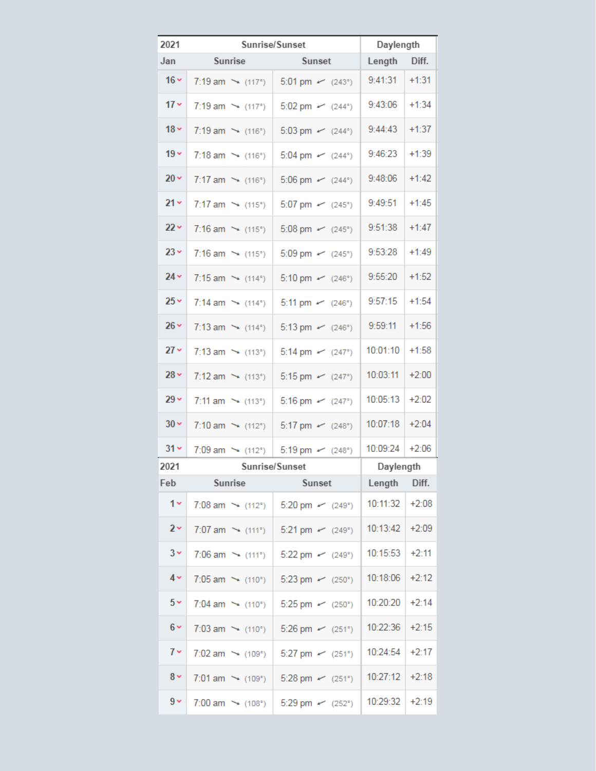| 2021           | Sunrise/Sunset                 |                       | Daylength           |  |
|----------------|--------------------------------|-----------------------|---------------------|--|
| Jan            | Sunrise                        | Sunset                | Diff.<br>Length     |  |
| $16 -$         | 7:19 am $\rightarrow$ (117°)   | 5:01 pm $\sim$ (243°) | 9:41:31<br>$+1:31$  |  |
| $17 -$         | 7:19 am $\rightarrow$ (117°)   | 5:02 pm $\sim$ (244°) | 9:43:06<br>$+1:34$  |  |
| $18 -$         | 7:19 am $\rightarrow$ (116°)   | 5:03 pm $\sim$ (244°) | $+1:37$<br>9:44:43  |  |
| $19 -$         | 7:18 am $\rightarrow$ (116°)   | 5:04 pm $\sim$ (244°) | 9:46:23<br>$+1:39$  |  |
| $20 -$         | 7:17 am $\rightarrow$ (116°)   | 5:06 pm $\sim$ (244°) | $+1:42$<br>9:48:06  |  |
| $21 -$         | 7:17 am $\rightarrow$ (115°)   | 5:07 pm $\sim$ (245°) | $+1:45$<br>9:49:51  |  |
| $22 -$         | 7:16 am $\sim$ (115°)          | 5:08 pm $\sim$ (245°) | 9:51:38<br>$+1:47$  |  |
| $23 -$         | 7:16 am $\rightarrow$ (115°)   | 5:09 pm $\sim$ (245°) | 9:53:28<br>$+1:49$  |  |
| $24 -$         | 7:15 am $\rightarrow$ (114°)   | 5:10 pm $\sim$ (246°) | 9:55:20<br>$+1:52$  |  |
| $25 -$         | 7:14 am $\rightarrow$ (114°)   | 5:11 pm $\sim$ (246°) | 9:57:15<br>$+1:54$  |  |
| $26 -$         | 7:13 am $\rightarrow$ (114°)   | 5:13 pm $\sim$ (246°) | 9:59:11<br>$+1:56$  |  |
| $27 -$         | 7:13 am $\rightarrow$ (113°)   | 5:14 pm $\sim$ (247°) | 10:01:10<br>$+1:58$ |  |
| $28 -$         | 7:12 am $\rightarrow$ (113°)   | 5:15 pm $\sim$ (247°) | 10:03:11<br>$+2:00$ |  |
| $29 -$         | 7:11 am $\rightarrow$ (113°)   | 5:16 pm $\sim$ (247°) | 10:05:13<br>$+2:02$ |  |
| $30 \times$    | 7:10 am $\rightarrow$ (112°)   | 5:17 pm $\sim$ (248°) | 10:07:18<br>$+2:04$ |  |
| $31 -$         | 7:09 am $\rightarrow$ (112°)   | 5:19 pm $\sim$ (248°) | 10:09:24<br>$+2:06$ |  |
| 2021           |                                | Sunrise/Sunset        | Daylength           |  |
| Feb            | Sunrise                        | Sunset                | Length<br>Diff.     |  |
| $1 -$          | 7:08 am $\sim$ (112°)          | 5:20 pm $\sim$ (249°) | 10:11:32<br>$+2:08$ |  |
| 2 <sub>Y</sub> | 7:07 am $\rightarrow$ (111°)   | 5:21 pm $\sim$ (249°) | 10:13:42<br>$+2:09$ |  |
| $3 \times$     | 7:06 am $\rightarrow$ (111°)   | 5:22 pm $\sim$ (249°) | 10:15:53<br>$+2:11$ |  |
| $4 -$          | $7:05$ am $\rightarrow$ (110°) | 5:23 pm $\sim$ (250°) | 10:18:06<br>$+2:12$ |  |
| $5 -$          | 7:04 am $\rightarrow$ (110°)   | 5:25 pm $\sim$ (250°) | 10:20:20<br>$+2:14$ |  |
| $6 -$          | 7:03 am $\rightarrow$ (110°)   | 5:26 pm $\sim$ (251°) | 10:22:36<br>$+2:15$ |  |
| $7 -$          | 7:02 am $\rightarrow$ (109°)   | 5:27 pm $\sim$ (251°) | 10:24:54<br>$+2:17$ |  |
| $8 -$          | 7:01 am $\sim$ (109°)          | 5:28 pm $\sim$ (251°) | 10:27:12<br>$+2:18$ |  |
| $9 -$          | 7:00 am $\sim$ (108°)          | 5:29 pm $\sim$ (252°) | 10:29:32<br>$+2:19$ |  |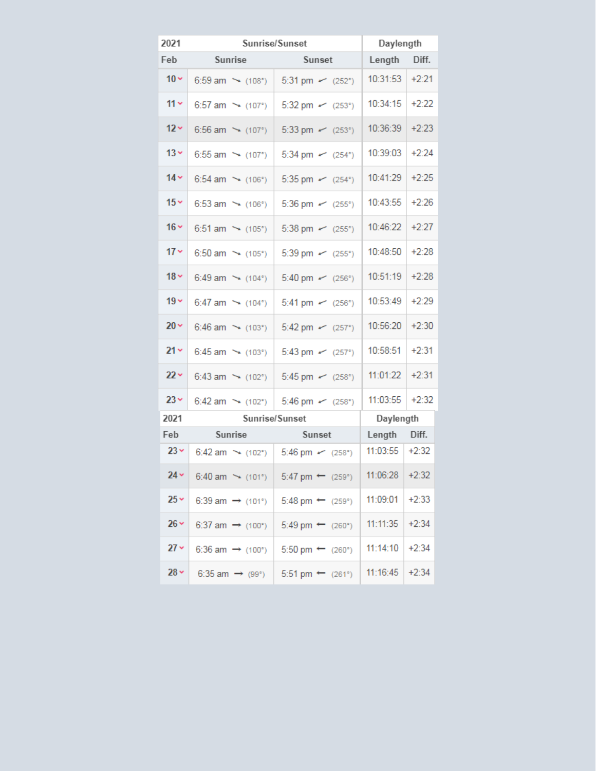| 2021        | Sunrise/Sunset               |                             | Daylength |         |
|-------------|------------------------------|-----------------------------|-----------|---------|
| Feb         | Sunrise                      | Sunset                      | Length    | Diff.   |
| $10 -$      | 6:59 am $\sim$ (108°)        | 5:31 pm $\sim$ (252°)       | 10:31:53  | $+2:21$ |
| $11 -$      | 6:57 am $\rightarrow$ (107°) | 5:32 pm $\sim$ (253°)       | 10:34:15  | $+2:22$ |
| $12 -$      | 6:56 am $\rightarrow$ (107°) | 5:33 pm $\sim$ (253°)       | 10:36:39  | $+2:23$ |
| $13 -$      | 6:55 am $\rightarrow$ (107°) | 5:34 pm $\sim$ (254°)       | 10:39:03  | $+2:24$ |
| $14 -$      | 6:54 am $\rightarrow$ (106°) | 5:35 pm $\sim$ (254°)       | 10:41:29  | $+2:25$ |
| $15 -$      | 6:53 am $\sim$ (106°)        | 5:36 pm $\sim$ (255°)       | 10:43:55  | $+2:26$ |
| $16 -$      | 6:51 am $\sim$ (105°)        | 5:38 pm $\sim$ (255°)       | 10:46:22  | $+2:27$ |
| $17 -$      | 6:50 am $\rightarrow$ (105°) | 5:39 pm $\sim$ (255°)       | 10:48:50  | $+2:28$ |
| $18 -$      | 6:49 am $\rightarrow$ (104°) | 5:40 pm $\sim$ (256°)       | 10:51:19  | $+2:28$ |
| $19 -$      | 6:47 am $\sim$ (104°)        | 5:41 pm $\sim$ (256°)       | 10:53:49  | $+2:29$ |
| $20 -$      | 6:46 am $\rightarrow$ (103°) | 5:42 pm $\sim$ (257°)       | 10:56:20  | $+2:30$ |
| $21 -$      | 6:45 am $\rightarrow$ (103°) | 5:43 pm $\sim$ (257°)       | 10:58:51  | $+2:31$ |
| $22 -$      | 6:43 am $\sim$ (102°)        | 5:45 pm $\sim$ (258°)       | 11:01:22  | $+2:31$ |
| $23 -$      | 6:42 am $\rightarrow$ (102°) | 5:46 pm $\sim$ (258°)       | 11:03:55  | $+2:32$ |
| 2021        | Sunrise/Sunset               |                             | Daylength |         |
| Feb         | Sunrise                      | Sunset                      | Length    | Diff.   |
| $23 -$      | 6:42 am $\rightarrow$ (102°) | 5:46 pm $\sim$ (258°)       | 11:03:55  | $+2:32$ |
| $24 -$      | 6:40 am $\rightarrow$ (101°) | 5:47 pm $\leftarrow$ (259°) | 11:06:28  | $+2:32$ |
| $25 -$      | 6:39 am $\rightarrow$ (101°) | 5:48 pm $\leftarrow$ (259°) | 11:09:01  | $+2:33$ |
| $26 \times$ | 6:37 am $\rightarrow$ (100°) | 5:49 pm $\leftarrow$ (260°) | 11:11:35  | $+2:34$ |
| $27 -$      | 6:36 am $\rightarrow$ (100°) | 5:50 pm $\leftarrow$ (260°) | 11:14:10  | $+2:34$ |
| $28 -$      | 6:35 am $\rightarrow$ (99°)  | 5:51 pm $\leftarrow$ (261°) | 11:16:45  | $+2:34$ |